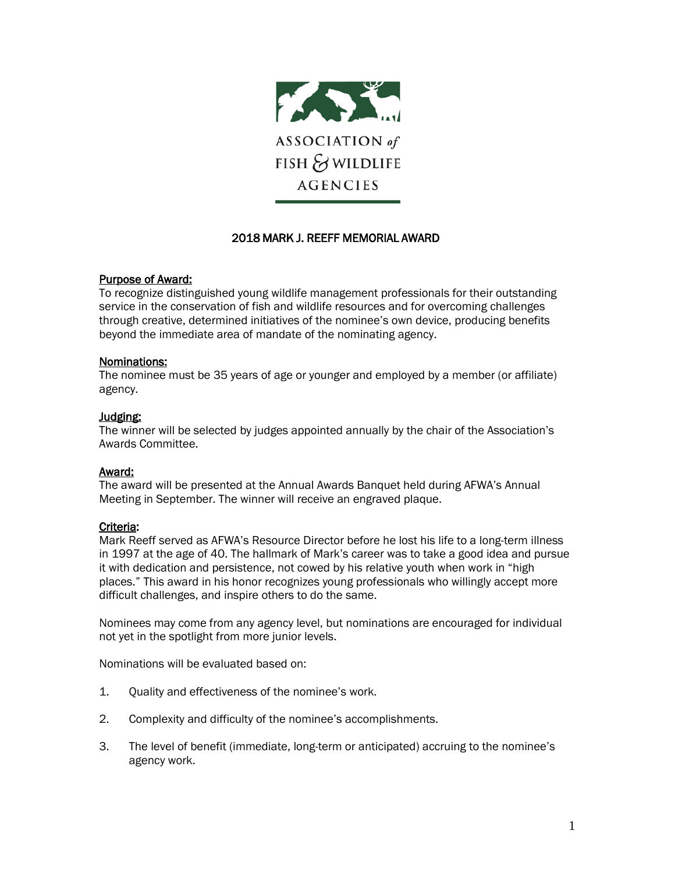

# 2018 MARK J. REEFF MEMORIAL AWARD

### Purpose of Award:

To recognize distinguished young wildlife management professionals for their outstanding service in the conservation of fish and wildlife resources and for overcoming challenges through creative, determined initiatives of the nominee's own device, producing benefits beyond the immediate area of mandate of the nominating agency.

### Nominations:

The nominee must be 35 years of age or younger and employed by a member (or affiliate) agency.

### Judging:

The winner will be selected by judges appointed annually by the chair of the Association's Awards Committee.

# Award:

The award will be presented at the Annual Awards Banquet held during AFWA's Annual Meeting in September. The winner will receive an engraved plaque.

# Criteria:

Mark Reeff served as AFWA's Resource Director before he lost his life to a long-term illness in 1997 at the age of 40. The hallmark of Mark's career was to take a good idea and pursue it with dedication and persistence, not cowed by his relative youth when work in "high places." This award in his honor recognizes young professionals who willingly accept more difficult challenges, and inspire others to do the same.

Nominees may come from any agency level, but nominations are encouraged for individual not yet in the spotlight from more junior levels.

Nominations will be evaluated based on:

- 1. Quality and effectiveness of the nominee's work.
- 2. Complexity and difficulty of the nominee's accomplishments.
- 3. The level of benefit (immediate, long-term or anticipated) accruing to the nominee's agency work.